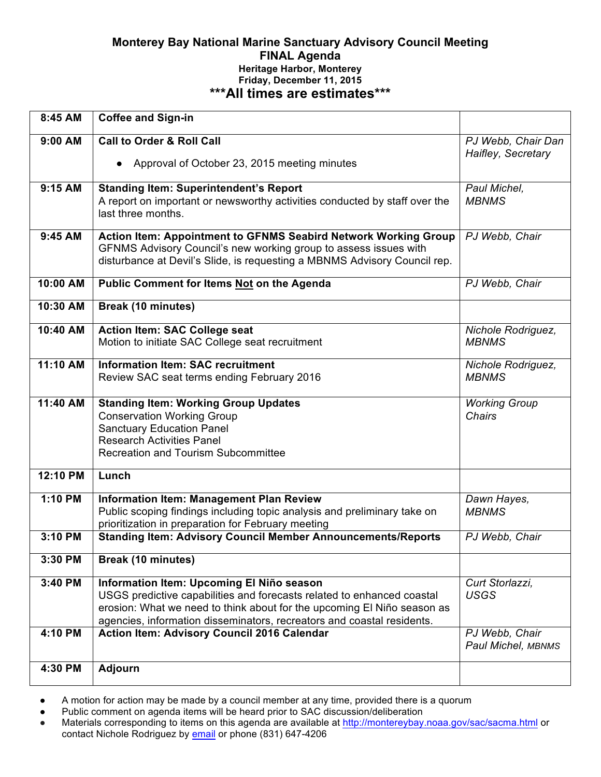# **Monterey Bay National Marine Sanctuary Advisory Council Meeting FINAL Agenda Heritage Harbor, Monterey Friday, December 11, 2015 \*\*\*All times are estimates\*\*\***

| 8:45 AM   | <b>Coffee and Sign-in</b>                                                                                                                         |                      |
|-----------|---------------------------------------------------------------------------------------------------------------------------------------------------|----------------------|
| 9:00 AM   | <b>Call to Order &amp; Roll Call</b>                                                                                                              | PJ Webb, Chair Dan   |
|           | Approval of October 23, 2015 meeting minutes                                                                                                      | Haifley, Secretary   |
| 9:15 AM   | <b>Standing Item: Superintendent's Report</b>                                                                                                     | Paul Michel,         |
|           | A report on important or newsworthy activities conducted by staff over the<br>last three months.                                                  | <b>MBNMS</b>         |
|           |                                                                                                                                                   |                      |
| $9:45$ AM | <b>Action Item: Appointment to GFNMS Seabird Network Working Group</b><br>GFNMS Advisory Council's new working group to assess issues with        | PJ Webb, Chair       |
|           | disturbance at Devil's Slide, is requesting a MBNMS Advisory Council rep.                                                                         |                      |
| 10:00 AM  | <b>Public Comment for Items Not on the Agenda</b>                                                                                                 | PJ Webb, Chair       |
| 10:30 AM  | <b>Break (10 minutes)</b>                                                                                                                         |                      |
| 10:40 AM  | Action Item: SAC College seat                                                                                                                     | Nichole Rodriguez,   |
|           | Motion to initiate SAC College seat recruitment                                                                                                   | <b>MBNMS</b>         |
| 11:10 AM  | <b>Information Item: SAC recruitment</b>                                                                                                          | Nichole Rodriguez,   |
|           | Review SAC seat terms ending February 2016                                                                                                        | <b>MBNMS</b>         |
| 11:40 AM  | <b>Standing Item: Working Group Updates</b>                                                                                                       | <b>Working Group</b> |
|           | <b>Conservation Working Group</b>                                                                                                                 | Chairs               |
|           | <b>Sanctuary Education Panel</b><br><b>Research Activities Panel</b>                                                                              |                      |
|           | <b>Recreation and Tourism Subcommittee</b>                                                                                                        |                      |
|           |                                                                                                                                                   |                      |
| 12:10 PM  | Lunch                                                                                                                                             |                      |
| 1:10 PM   | <b>Information Item: Management Plan Review</b>                                                                                                   | Dawn Hayes,          |
|           | Public scoping findings including topic analysis and preliminary take on                                                                          | <b>MBNMS</b>         |
| 3:10 PM   | prioritization in preparation for February meeting<br><b>Standing Item: Advisory Council Member Announcements/Reports</b>                         | PJ Webb, Chair       |
| 3:30 PM   | <b>Break (10 minutes)</b>                                                                                                                         |                      |
|           |                                                                                                                                                   |                      |
| 3:40 PM   | Information Item: Upcoming El Niño season                                                                                                         | Curt Storlazzi,      |
|           | USGS predictive capabilities and forecasts related to enhanced coastal                                                                            | <b>USGS</b>          |
|           | erosion: What we need to think about for the upcoming El Niño season as<br>agencies, information disseminators, recreators and coastal residents. |                      |
| 4:10 PM   | <b>Action Item: Advisory Council 2016 Calendar</b>                                                                                                | PJ Webb, Chair       |
|           |                                                                                                                                                   | Paul Michel, MBNMS   |
| 4:30 PM   | Adjourn                                                                                                                                           |                      |
|           |                                                                                                                                                   |                      |

● A motion for action may be made by a council member at any time, provided there is a quorum

● Public comment on agenda items will be heard prior to SAC discussion/deliberation

• Materials corresponding to items on this agenda are available at http://montereybay.noaa.gov/sac/sacma.html or contact Nichole Rodriguez by email or phone (831) 647-4206